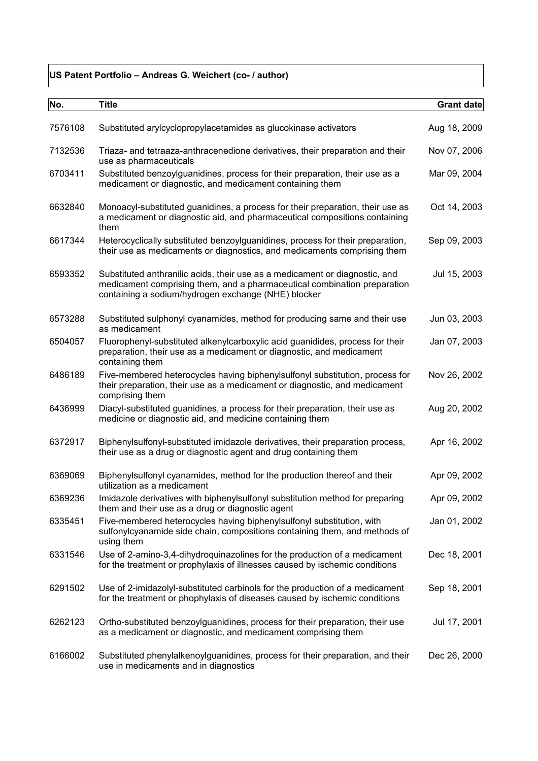## **US Patent Portfolio – Andreas G. Weichert (co- / author)**

| No.     | <b>Title</b>                                                                                                                                                                                                   | Grant date   |
|---------|----------------------------------------------------------------------------------------------------------------------------------------------------------------------------------------------------------------|--------------|
| 7576108 | Substituted arylcyclopropylacetamides as glucokinase activators                                                                                                                                                | Aug 18, 2009 |
| 7132536 | Triaza- and tetraaza-anthracenedione derivatives, their preparation and their<br>use as pharmaceuticals                                                                                                        | Nov 07, 2006 |
| 6703411 | Substituted benzoylguanidines, process for their preparation, their use as a<br>medicament or diagnostic, and medicament containing them                                                                       | Mar 09, 2004 |
| 6632840 | Monoacyl-substituted guanidines, a process for their preparation, their use as<br>a medicament or diagnostic aid, and pharmaceutical compositions containing<br>them                                           | Oct 14, 2003 |
| 6617344 | Heterocyclically substituted benzoylguanidines, process for their preparation,<br>their use as medicaments or diagnostics, and medicaments comprising them                                                     | Sep 09, 2003 |
| 6593352 | Substituted anthranilic acids, their use as a medicament or diagnostic, and<br>medicament comprising them, and a pharmaceutical combination preparation<br>containing a sodium/hydrogen exchange (NHE) blocker | Jul 15, 2003 |
| 6573288 | Substituted sulphonyl cyanamides, method for producing same and their use<br>as medicament                                                                                                                     | Jun 03, 2003 |
| 6504057 | Fluorophenyl-substituted alkenylcarboxylic acid guanidides, process for their<br>preparation, their use as a medicament or diagnostic, and medicament<br>containing them                                       | Jan 07, 2003 |
| 6486189 | Five-membered heterocycles having biphenylsulfonyl substitution, process for<br>their preparation, their use as a medicament or diagnostic, and medicament<br>comprising them                                  | Nov 26, 2002 |
| 6436999 | Diacyl-substituted guanidines, a process for their preparation, their use as<br>medicine or diagnostic aid, and medicine containing them                                                                       | Aug 20, 2002 |
| 6372917 | Biphenylsulfonyl-substituted imidazole derivatives, their preparation process,<br>their use as a drug or diagnostic agent and drug containing them                                                             | Apr 16, 2002 |
| 6369069 | Biphenylsulfonyl cyanamides, method for the production thereof and their<br>utilization as a medicament                                                                                                        | Apr 09, 2002 |
| 6369236 | Imidazole derivatives with biphenylsulfonyl substitution method for preparing<br>them and their use as a drug or diagnostic agent                                                                              | Apr 09, 2002 |
| 6335451 | Five-membered heterocycles having biphenylsulfonyl substitution, with<br>sulfonylcyanamide side chain, compositions containing them, and methods of<br>using them                                              | Jan 01, 2002 |
| 6331546 | Use of 2-amino-3,4-dihydroquinazolines for the production of a medicament<br>for the treatment or prophylaxis of illnesses caused by ischemic conditions                                                       | Dec 18, 2001 |
| 6291502 | Use of 2-imidazolyl-substituted carbinols for the production of a medicament<br>for the treatment or phophylaxis of diseases caused by ischemic conditions                                                     | Sep 18, 2001 |
| 6262123 | Ortho-substituted benzoylguanidines, process for their preparation, their use<br>as a medicament or diagnostic, and medicament comprising them                                                                 | Jul 17, 2001 |
| 6166002 | Substituted phenylalkenoylguanidines, process for their preparation, and their<br>use in medicaments and in diagnostics                                                                                        | Dec 26, 2000 |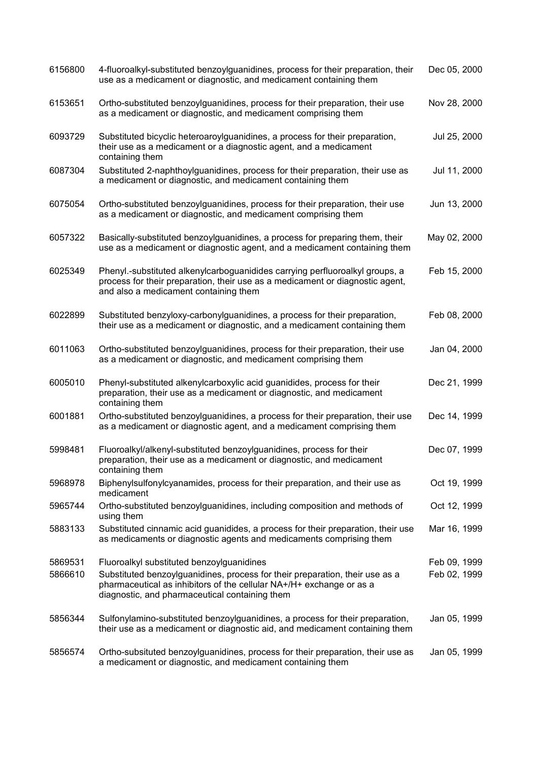| 6156800 | 4-fluoroalkyl-substituted benzoylguanidines, process for their preparation, their<br>use as a medicament or diagnostic, and medicament containing them                                                 | Dec 05, 2000 |
|---------|--------------------------------------------------------------------------------------------------------------------------------------------------------------------------------------------------------|--------------|
| 6153651 | Ortho-substituted benzoylguanidines, process for their preparation, their use<br>as a medicament or diagnostic, and medicament comprising them                                                         | Nov 28, 2000 |
| 6093729 | Substituted bicyclic heteroaroylguanidines, a process for their preparation,<br>their use as a medicament or a diagnostic agent, and a medicament<br>containing them                                   | Jul 25, 2000 |
| 6087304 | Substituted 2-naphthoylguanidines, process for their preparation, their use as<br>a medicament or diagnostic, and medicament containing them                                                           | Jul 11, 2000 |
| 6075054 | Ortho-substituted benzoylguanidines, process for their preparation, their use<br>as a medicament or diagnostic, and medicament comprising them                                                         | Jun 13, 2000 |
| 6057322 | Basically-substituted benzoylguanidines, a process for preparing them, their<br>use as a medicament or diagnostic agent, and a medicament containing them                                              | May 02, 2000 |
| 6025349 | Phenyl.-substituted alkenylcarboguanidides carrying perfluoroalkyl groups, a<br>process for their preparation, their use as a medicament or diagnostic agent,<br>and also a medicament containing them | Feb 15, 2000 |
| 6022899 | Substituted benzyloxy-carbonylguanidines, a process for their preparation,<br>their use as a medicament or diagnostic, and a medicament containing them                                                | Feb 08, 2000 |
| 6011063 | Ortho-substituted benzoylguanidines, process for their preparation, their use<br>as a medicament or diagnostic, and medicament comprising them                                                         | Jan 04, 2000 |
| 6005010 | Phenyl-substituted alkenylcarboxylic acid guanidides, process for their<br>preparation, their use as a medicament or diagnostic, and medicament<br>containing them                                     | Dec 21, 1999 |
| 6001881 | Ortho-substituted benzoylguanidines, a process for their preparation, their use<br>as a medicament or diagnostic agent, and a medicament comprising them                                               | Dec 14, 1999 |
| 5998481 | Fluoroalkyl/alkenyl-substituted benzoylguanidines, process for their<br>preparation, their use as a medicament or diagnostic, and medicament<br>containing them                                        | Dec 07, 1999 |
| 5968978 | Biphenylsulfonylcyanamides, process for their preparation, and their use as<br>medicament                                                                                                              | Oct 19, 1999 |
| 5965744 | Ortho-substituted benzoylguanidines, including composition and methods of<br>using them                                                                                                                | Oct 12, 1999 |
| 5883133 | Substituted cinnamic acid guanidides, a process for their preparation, their use<br>as medicaments or diagnostic agents and medicaments comprising them                                                | Mar 16, 1999 |
| 5869531 | Fluoroalkyl substituted benzoylguanidines                                                                                                                                                              | Feb 09, 1999 |
| 5866610 | Substituted benzoylguanidines, process for their preparation, their use as a<br>pharmaceutical as inhibitors of the cellular NA+/H+ exchange or as a<br>diagnostic, and pharmaceutical containing them | Feb 02, 1999 |
| 5856344 | Sulfonylamino-substituted benzoylguanidines, a process for their preparation,<br>their use as a medicament or diagnostic aid, and medicament containing them                                           | Jan 05, 1999 |
| 5856574 | Ortho-subsituted benzoylguanidines, process for their preparation, their use as<br>a medicament or diagnostic, and medicament containing them                                                          | Jan 05, 1999 |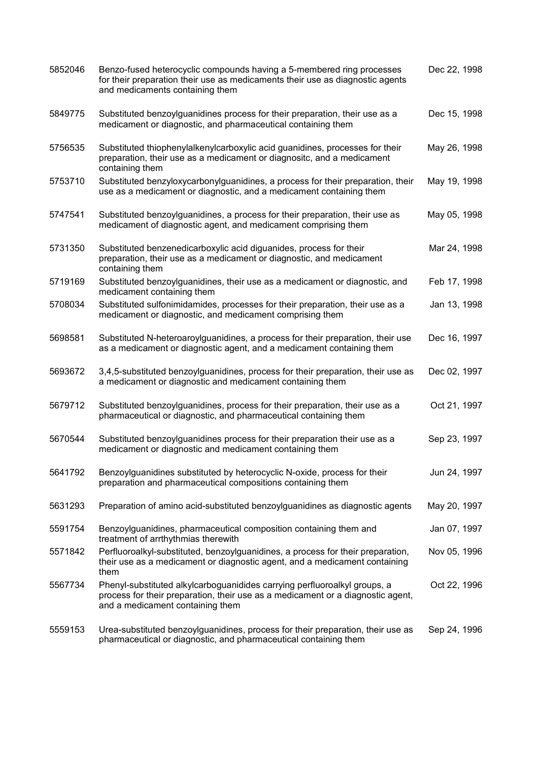| 5852046 | Benzo-fused heterocyclic compounds having a 5-membered ring processes<br>for their preparation their use as medicaments their use as diagnostic agents<br>and medicaments containing them        | Dec 22, 1998 |
|---------|--------------------------------------------------------------------------------------------------------------------------------------------------------------------------------------------------|--------------|
| 5849775 | Substituted benzoylguanidines process for their preparation, their use as a<br>medicament or diagnostic, and pharmaceutical containing them                                                      | Dec 15, 1998 |
| 5756535 | Substituted thiophenylalkenylcarboxylic acid guanidines, processes for their<br>preparation, their use as a medicament or diagnositc, and a medicament<br>containing them                        | May 26, 1998 |
| 5753710 | Substituted benzyloxycarbonylguanidines, a process for their preparation, their<br>use as a medicament or diagnostic, and a medicament containing them                                           | May 19, 1998 |
| 5747541 | Substituted benzoylguanidines, a process for their preparation, their use as<br>medicament of diagnostic agent, and medicament comprising them                                                   | May 05, 1998 |
| 5731350 | Substituted benzenedicarboxylic acid diguanides, process for their<br>preparation, their use as a medicament or diagnostic, and medicament<br>containing them                                    | Mar 24, 1998 |
| 5719169 | Substituted benzoylguanidines, their use as a medicament or diagnostic, and<br>medicament containing them                                                                                        | Feb 17, 1998 |
| 5708034 | Substituted sulfonimidamides, processes for their preparation, their use as a<br>medicament or diagnostic, and medicament comprising them                                                        | Jan 13, 1998 |
| 5698581 | Substituted N-heteroaroylguanidines, a process for their preparation, their use<br>as a medicament or diagnostic agent, and a medicament containing them                                         | Dec 16, 1997 |
| 5693672 | 3,4,5-substituted benzoylguanidines, process for their preparation, their use as<br>a medicament or diagnostic and medicament containing them                                                    | Dec 02, 1997 |
| 5679712 | Substituted benzoylguanidines, process for their preparation, their use as a<br>pharmaceutical or diagnostic, and pharmaceutical containing them                                                 | Oct 21, 1997 |
| 5670544 | Substituted benzoylguanidines process for their preparation their use as a<br>medicament or diagnostic and medicament containing them                                                            | Sep 23, 1997 |
| 5641792 | Benzoylguanidines substituted by heterocyclic N-oxide, process for their<br>preparation and pharmaceutical compositions containing them                                                          | Jun 24, 1997 |
| 5631293 | Preparation of amino acid-substituted benzoylguanidines as diagnostic agents                                                                                                                     | May 20, 1997 |
| 5591754 | Benzoylguanidines, pharmaceutical composition containing them and<br>treatment of arrthythmias therewith                                                                                         | Jan 07, 1997 |
| 5571842 | Perfluoroalkyl-substituted, benzoylguanidines, a process for their preparation,<br>their use as a medicament or diagnostic agent, and a medicament containing<br>them                            | Nov 05, 1996 |
| 5567734 | Phenyl-substituted alkylcarboguanidides carrying perfluoroalkyl groups, a<br>process for their preparation, their use as a medicament or a diagnostic agent,<br>and a medicament containing them | Oct 22, 1996 |
| 5559153 | Urea-substituted benzoylguanidines, process for their preparation, their use as<br>pharmaceutical or diagnostic, and pharmaceutical containing them                                              | Sep 24, 1996 |